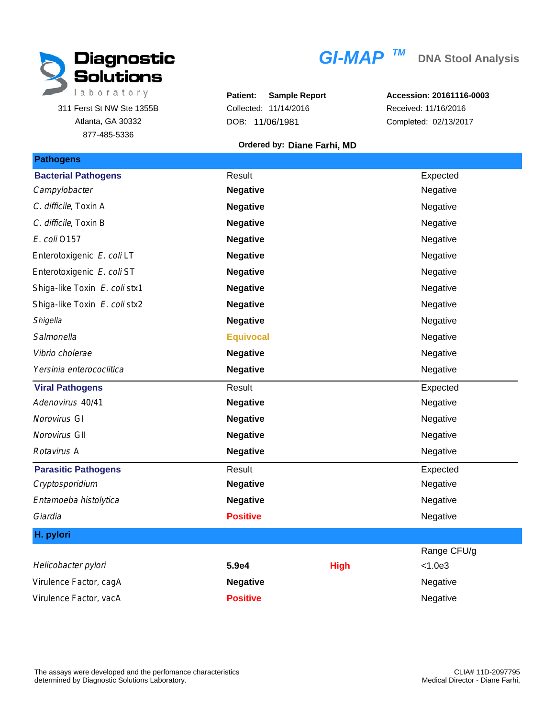

311 Ferst St NW Ste 1355B Atlanta, GA 30332 877-485-5336

## $GI-MAP$ <sup>TM</sup>

**Patient: Sample Report** Collected: 11/14/2016 DOB: 11/06/1981

**Accession: 20161116-0003** Received: 11/16/2016 Completed: 02/13/2017

## **Ordered by: Diane Farhi, MD**

| <b>Pathogens</b>              |                  |             |             |
|-------------------------------|------------------|-------------|-------------|
| <b>Bacterial Pathogens</b>    | Result           |             | Expected    |
| Campylobacter                 | <b>Negative</b>  |             | Negative    |
| C. difficile, Toxin A         | <b>Negative</b>  |             | Negative    |
| C. difficile, Toxin B         | <b>Negative</b>  |             | Negative    |
| E. coli 0157                  | <b>Negative</b>  |             | Negative    |
| Enterotoxigenic E. coli LT    | <b>Negative</b>  |             | Negative    |
| Enterotoxigenic E. coli ST    | <b>Negative</b>  |             | Negative    |
| Shiga-like Toxin E. coli stx1 | <b>Negative</b>  |             | Negative    |
| Shiga-like Toxin E. coli stx2 | <b>Negative</b>  |             | Negative    |
| Shigella                      | <b>Negative</b>  |             | Negative    |
| Salmonella                    | <b>Equivocal</b> |             | Negative    |
| Vibrio cholerae               | <b>Negative</b>  |             | Negative    |
| Yersinia enterococlitica      | <b>Negative</b>  |             | Negative    |
| <b>Viral Pathogens</b>        | Result           |             | Expected    |
| Adenovirus 40/41              | <b>Negative</b>  |             | Negative    |
| Norovirus GI                  | <b>Negative</b>  |             | Negative    |
| Norovirus GII                 | <b>Negative</b>  |             | Negative    |
| Rotavirus A                   | <b>Negative</b>  |             | Negative    |
| <b>Parasitic Pathogens</b>    | Result           |             | Expected    |
| Cryptosporidium               | <b>Negative</b>  |             | Negative    |
| Entamoeba histolytica         | <b>Negative</b>  |             | Negative    |
| Giardia                       | <b>Positive</b>  |             | Negative    |
| H. pylori                     |                  |             |             |
|                               |                  |             | Range CFU/g |
| Helicobacter pylori           | 5.9e4            | <b>High</b> | < 1.0e3     |
| Virulence Factor, cagA        | <b>Negative</b>  |             | Negative    |
| Virulence Factor, vacA        | <b>Positive</b>  |             | Negative    |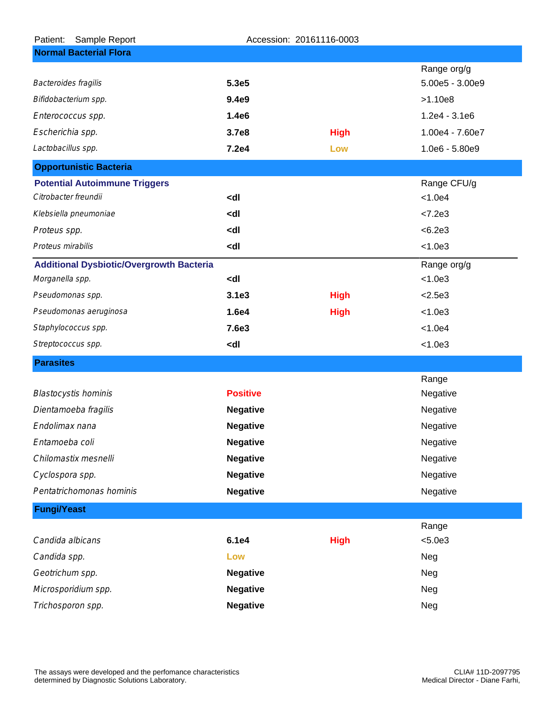| Sample Report<br>Patient:                       | Accession: 20161116-0003                      |             |                  |  |  |
|-------------------------------------------------|-----------------------------------------------|-------------|------------------|--|--|
| <b>Normal Bacterial Flora</b>                   |                                               |             |                  |  |  |
|                                                 |                                               |             | Range org/g      |  |  |
| Bacteroides fragilis                            | 5.3e5                                         |             | 5.00e5 - 3.00e9  |  |  |
| Bifidobacterium spp.                            | 9.4e9                                         |             | >1.10e8          |  |  |
| Enterococcus spp.                               | 1.4e6                                         |             | $1.2e4 - 3.1e6$  |  |  |
| Escherichia spp.                                | 3.7e8                                         | <b>High</b> | 1.00e4 - 7.60e7  |  |  |
| Lactobacillus spp.                              | 7.2e4                                         | Low         | $1.0e6 - 5.80e9$ |  |  |
| <b>Opportunistic Bacteria</b>                   |                                               |             |                  |  |  |
| <b>Potential Autoimmune Triggers</b>            |                                               |             | Range CFU/g      |  |  |
| Citrobacter freundii                            | <dl< td=""><td></td><td>&lt; 1.0e4</td></dl<> |             | < 1.0e4          |  |  |
| Klebsiella pneumoniae                           | <dl< td=""><td></td><td>&lt; 7.2e3</td></dl<> |             | < 7.2e3          |  |  |
| Proteus spp.                                    | <dl< td=""><td></td><td>&lt; 6.2e3</td></dl<> |             | < 6.2e3          |  |  |
| Proteus mirabilis                               | <dl< td=""><td></td><td>&lt; 1.0e3</td></dl<> |             | < 1.0e3          |  |  |
| <b>Additional Dysbiotic/Overgrowth Bacteria</b> |                                               |             | Range org/g      |  |  |
| Morganella spp.                                 | <dl< td=""><td></td><td>&lt; 1.0e3</td></dl<> |             | < 1.0e3          |  |  |
| Pseudomonas spp.                                | 3.1e3                                         | <b>High</b> | < 2.5e3          |  |  |
| Pseudomonas aeruginosa                          | 1.6e4                                         | <b>High</b> | < 1.0e3          |  |  |
| Staphylococcus spp.                             | 7.6e3                                         |             | < 1.0e4          |  |  |
| Streptococcus spp.                              | <dl< td=""><td></td><td>&lt; 1.0e3</td></dl<> |             | < 1.0e3          |  |  |
| <b>Parasites</b>                                |                                               |             |                  |  |  |
|                                                 |                                               |             | Range            |  |  |
| <b>Blastocystis hominis</b>                     | <b>Positive</b>                               |             | Negative         |  |  |
| Dientamoeba fragilis                            | <b>Negative</b>                               |             | Negative         |  |  |
| Endolimax nana                                  | <b>Negative</b>                               |             | Negative         |  |  |
| Entamoeba coli                                  | <b>Negative</b>                               |             | Negative         |  |  |
| Chilomastix mesnelli                            | <b>Negative</b>                               |             | Negative         |  |  |
| Cyclospora spp.                                 | <b>Negative</b>                               |             | Negative         |  |  |
| Pentatrichomonas hominis                        | <b>Negative</b>                               |             | Negative         |  |  |
| <b>Fungi/Yeast</b>                              |                                               |             |                  |  |  |
|                                                 |                                               |             | Range            |  |  |
| Candida albicans                                | 6.1e4                                         | <b>High</b> | < 5.0e3          |  |  |
| Candida spp.                                    | Low                                           |             | Neg              |  |  |
| Geotrichum spp.                                 | <b>Negative</b>                               |             | Neg              |  |  |
| Microsporidium spp.                             | <b>Negative</b>                               |             | Neg              |  |  |
| Trichosporon spp.                               | <b>Negative</b>                               |             | Neg              |  |  |